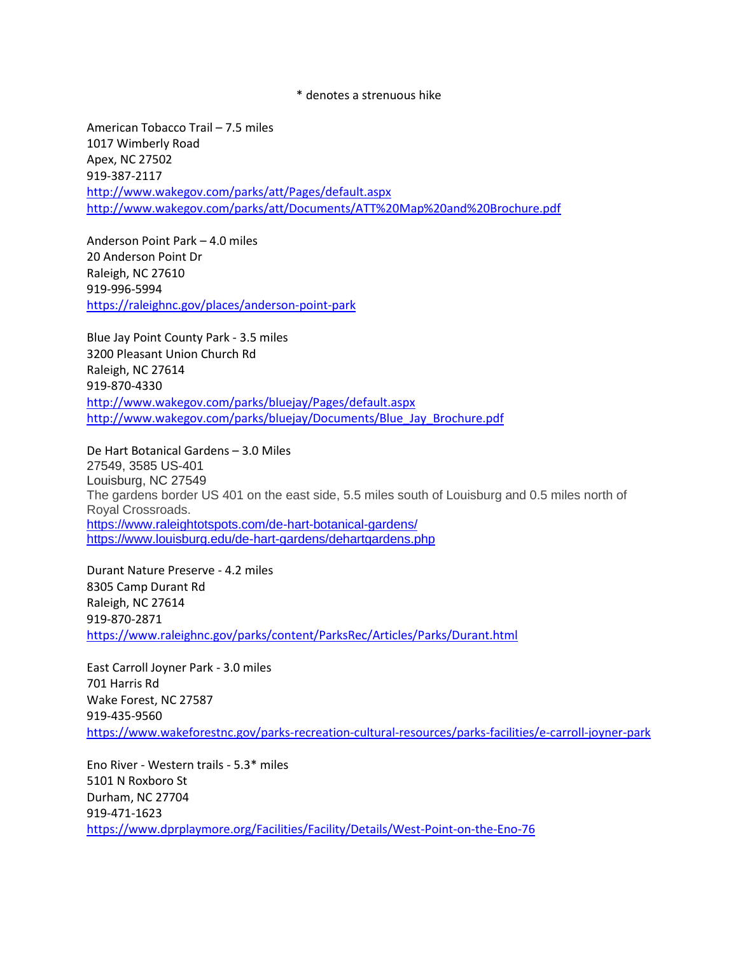\* denotes a strenuous hike

American Tobacco Trail – 7.5 miles 1017 Wimberly Road Apex, NC 27502 919-387-2117 <http://www.wakegov.com/parks/att/Pages/default.aspx> <http://www.wakegov.com/parks/att/Documents/ATT%20Map%20and%20Brochure.pdf>

Anderson Point Park – 4.0 miles 20 Anderson Point Dr Raleigh, NC 27610 919-996-5994 <https://raleighnc.gov/places/anderson-point-park>

Blue Jay Point County Park - 3.5 miles 3200 Pleasant Union Church Rd Raleigh, NC 27614 919-870-4330 <http://www.wakegov.com/parks/bluejay/Pages/default.aspx> [http://www.wakegov.com/parks/bluejay/Documents/Blue\\_Jay\\_Brochure.pdf](http://www.wakegov.com/parks/bluejay/Documents/Blue_Jay_Brochure.pdf)

De Hart Botanical Gardens – 3.0 Miles 27549, 3585 US-401 Louisburg, NC 27549 The gardens border US 401 on the east side, 5.5 miles south of Louisburg and 0.5 miles north of Royal Crossroads. <https://www.raleightotspots.com/de-hart-botanical-gardens/> <https://www.louisburg.edu/de-hart-gardens/dehartgardens.php>

Durant Nature Preserve - 4.2 miles 8305 Camp Durant Rd Raleigh, NC 27614 919-870-2871 <https://www.raleighnc.gov/parks/content/ParksRec/Articles/Parks/Durant.html>

East Carroll Joyner Park - 3.0 miles 701 Harris Rd Wake Forest, NC 27587 919-435-9560 <https://www.wakeforestnc.gov/parks-recreation-cultural-resources/parks-facilities/e-carroll-joyner-park>

Eno River - Western trails - 5.3\* miles 5101 N Roxboro St Durham, NC 27704 919-471-1623 <https://www.dprplaymore.org/Facilities/Facility/Details/West-Point-on-the-Eno-76>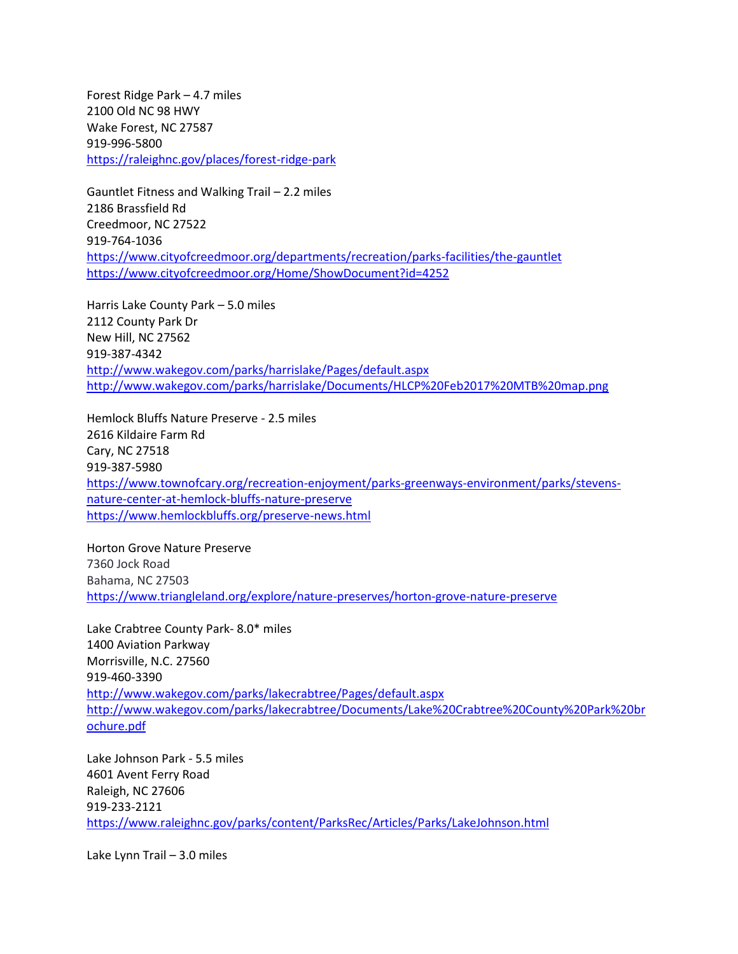Forest Ridge Park – 4.7 miles 2100 Old NC 98 HWY Wake Forest, NC 27587 919-996-5800 <https://raleighnc.gov/places/forest-ridge-park>

Gauntlet Fitness and Walking Trail – 2.2 miles 2186 Brassfield Rd Creedmoor, NC 27522 919-764-1036 <https://www.cityofcreedmoor.org/departments/recreation/parks-facilities/the-gauntlet> <https://www.cityofcreedmoor.org/Home/ShowDocument?id=4252>

Harris Lake County Park – 5.0 miles 2112 County Park Dr New Hill, NC 27562 919-387-4342 <http://www.wakegov.com/parks/harrislake/Pages/default.aspx> <http://www.wakegov.com/parks/harrislake/Documents/HLCP%20Feb2017%20MTB%20map.png>

Hemlock Bluffs Nature Preserve - 2.5 miles 2616 Kildaire Farm Rd Cary, NC 27518 919-387-5980 [https://www.townofcary.org/recreation-enjoyment/parks-greenways-environment/parks/stevens](https://www.townofcary.org/recreation-enjoyment/parks-greenways-environment/parks/stevens-nature-center-at-hemlock-bluffs-nature-preserve)[nature-center-at-hemlock-bluffs-nature-preserve](https://www.townofcary.org/recreation-enjoyment/parks-greenways-environment/parks/stevens-nature-center-at-hemlock-bluffs-nature-preserve) <https://www.hemlockbluffs.org/preserve-news.html>

Horton Grove Nature Preserve 7360 Jock Road Bahama, NC 27503 <https://www.triangleland.org/explore/nature-preserves/horton-grove-nature-preserve>

Lake Crabtree County Park- 8.0\* miles 1400 Aviation Parkway Morrisville, N.C. 27560 919-460-3390 <http://www.wakegov.com/parks/lakecrabtree/Pages/default.aspx> [http://www.wakegov.com/parks/lakecrabtree/Documents/Lake%20Crabtree%20County%20Park%20br](http://www.wakegov.com/parks/lakecrabtree/Documents/Lake%20Crabtree%20County%20Park%20brochure.pdf) [ochure.pdf](http://www.wakegov.com/parks/lakecrabtree/Documents/Lake%20Crabtree%20County%20Park%20brochure.pdf)

Lake Johnson Park - 5.5 miles 4601 Avent Ferry Road Raleigh, NC 27606 919-233-2121 <https://www.raleighnc.gov/parks/content/ParksRec/Articles/Parks/LakeJohnson.html>

Lake Lynn Trail – 3.0 miles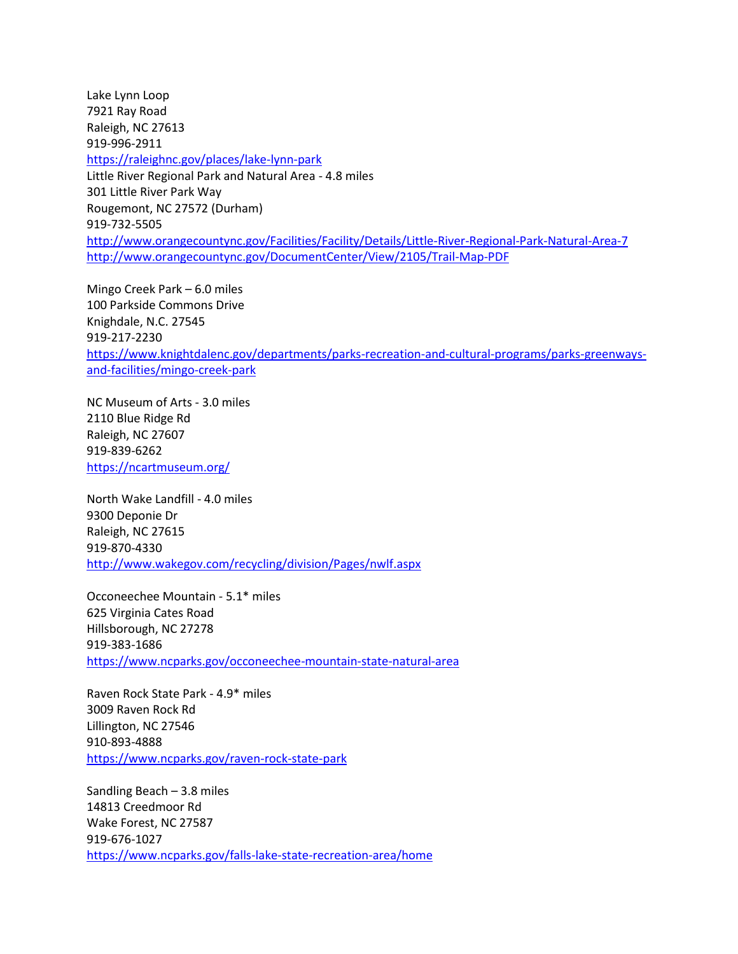Lake Lynn Loop 7921 Ray Road Raleigh, NC 27613 919-996-2911 <https://raleighnc.gov/places/lake-lynn-park> Little River Regional Park and Natural Area - 4.8 miles 301 Little River Park Way Rougemont, NC 27572 (Durham) 919-732-5505 <http://www.orangecountync.gov/Facilities/Facility/Details/Little-River-Regional-Park-Natural-Area-7> <http://www.orangecountync.gov/DocumentCenter/View/2105/Trail-Map-PDF>

Mingo Creek Park – 6.0 miles 100 Parkside Commons Drive Knighdale, N.C. 27545 919-217-2230 [https://www.knightdalenc.gov/departments/parks-recreation-and-cultural-programs/parks-greenways](https://www.knightdalenc.gov/departments/parks-recreation-and-cultural-programs/parks-greenways-and-facilities/mingo-creek-park)[and-facilities/mingo-creek-park](https://www.knightdalenc.gov/departments/parks-recreation-and-cultural-programs/parks-greenways-and-facilities/mingo-creek-park)

NC Museum of Arts - 3.0 miles 2110 Blue Ridge Rd Raleigh, NC 27607 919-839-6262 <https://ncartmuseum.org/>

North Wake Landfill - 4.0 miles 9300 Deponie Dr Raleigh, NC 27615 919-870-4330 <http://www.wakegov.com/recycling/division/Pages/nwlf.aspx>

Occoneechee Mountain - 5.1\* miles 625 Virginia Cates Road Hillsborough, NC 27278 919-383-1686 <https://www.ncparks.gov/occoneechee-mountain-state-natural-area>

Raven Rock State Park - 4.9\* miles 3009 Raven Rock Rd Lillington, NC 27546 910-893-4888 <https://www.ncparks.gov/raven-rock-state-park>

Sandling Beach – 3.8 miles 14813 Creedmoor Rd Wake Forest, NC 27587 919-676-1027 <https://www.ncparks.gov/falls-lake-state-recreation-area/home>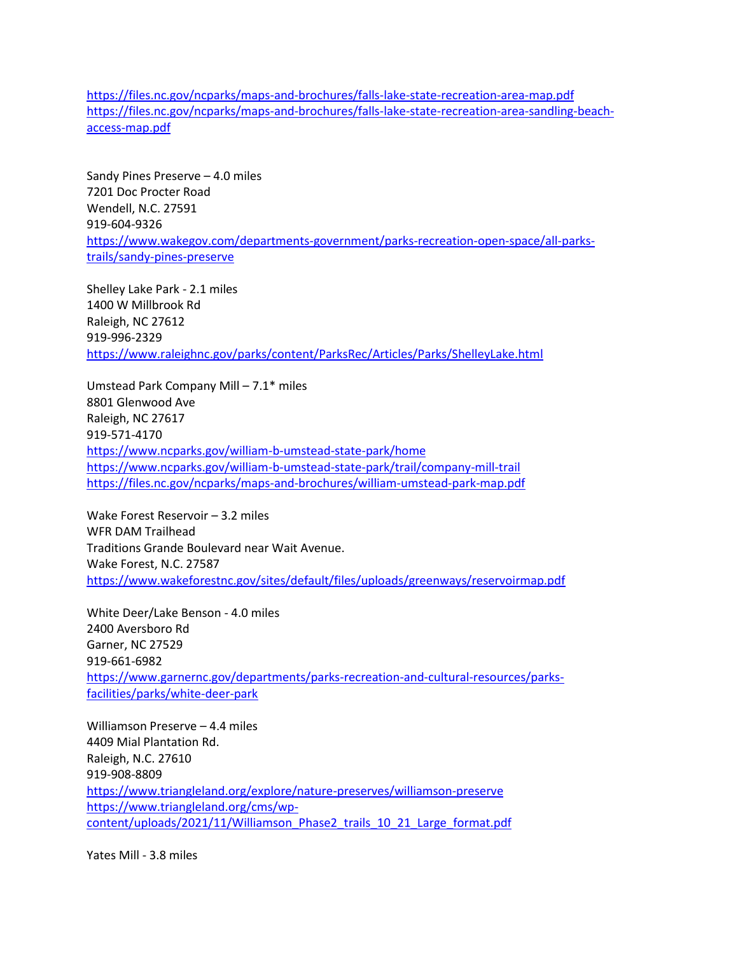<https://files.nc.gov/ncparks/maps-and-brochures/falls-lake-state-recreation-area-map.pdf> [https://files.nc.gov/ncparks/maps-and-brochures/falls-lake-state-recreation-area-sandling-beach](https://files.nc.gov/ncparks/maps-and-brochures/falls-lake-state-recreation-area-sandling-beach-access-map.pdf)[access-map.pdf](https://files.nc.gov/ncparks/maps-and-brochures/falls-lake-state-recreation-area-sandling-beach-access-map.pdf)

Sandy Pines Preserve – 4.0 miles 7201 Doc Procter Road Wendell, N.C. 27591 919-604-9326 [https://www.wakegov.com/departments-government/parks-recreation-open-space/all-parks](https://www.wakegov.com/departments-government/parks-recreation-open-space/all-parks-trails/sandy-pines-preserve)[trails/sandy-pines-preserve](https://www.wakegov.com/departments-government/parks-recreation-open-space/all-parks-trails/sandy-pines-preserve)

Shelley Lake Park - 2.1 miles 1400 W Millbrook Rd Raleigh, NC 27612 919-996-2329 <https://www.raleighnc.gov/parks/content/ParksRec/Articles/Parks/ShelleyLake.html>

Umstead Park Company Mill – 7.1\* miles 8801 Glenwood Ave Raleigh, NC 27617 919-571-4170 <https://www.ncparks.gov/william-b-umstead-state-park/home> <https://www.ncparks.gov/william-b-umstead-state-park/trail/company-mill-trail> <https://files.nc.gov/ncparks/maps-and-brochures/william-umstead-park-map.pdf>

Wake Forest Reservoir – 3.2 miles WFR DAM Trailhead Traditions Grande Boulevard near Wait Avenue. Wake Forest, N.C. 27587 <https://www.wakeforestnc.gov/sites/default/files/uploads/greenways/reservoirmap.pdf>

White Deer/Lake Benson - 4.0 miles 2400 Aversboro Rd Garner, NC 27529 919-661-6982 [https://www.garnernc.gov/departments/parks-recreation-and-cultural-resources/parks](https://www.garnernc.gov/departments/parks-recreation-and-cultural-resources/parks-facilities/parks/white-deer-park)[facilities/parks/white-deer-park](https://www.garnernc.gov/departments/parks-recreation-and-cultural-resources/parks-facilities/parks/white-deer-park)

Williamson Preserve – 4.4 miles 4409 Mial Plantation Rd. Raleigh, N.C. 27610 919-908-8809 <https://www.triangleland.org/explore/nature-preserves/williamson-preserve> [https://www.triangleland.org/cms/wp](https://www.triangleland.org/cms/wp-content/uploads/2021/11/Williamson_Phase2_trails_10_21_Large_format.pdf)[content/uploads/2021/11/Williamson\\_Phase2\\_trails\\_10\\_21\\_Large\\_format.pdf](https://www.triangleland.org/cms/wp-content/uploads/2021/11/Williamson_Phase2_trails_10_21_Large_format.pdf)

Yates Mill - 3.8 miles